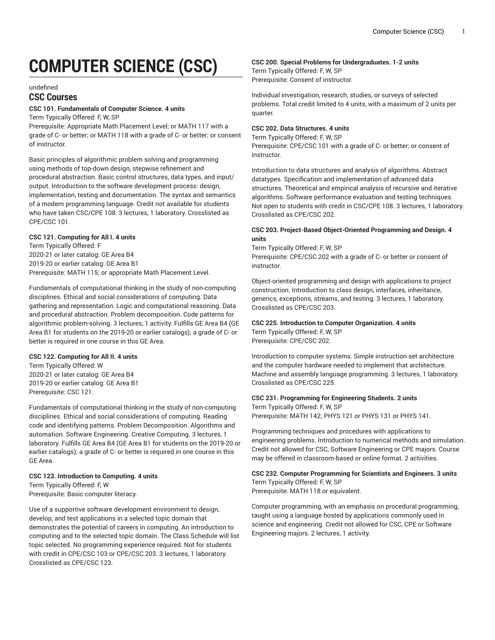# **COMPUTER SCIENCE (CSC)**

#### undefined

## **CSC Courses**

## **CSC 101. Fundamentals of Computer Science. 4 units**

Term Typically Offered: F, W, SP

Prerequisite: Appropriate Math Placement Level; or MATH 117 with a grade of C- or better; or MATH 118 with a grade of C- or better; or consent of instructor.

Basic principles of algorithmic problem solving and programming using methods of top-down design, stepwise refinement and procedural abstraction. Basic control structures, data types, and input/ output. Introduction to the software development process: design, implementation, testing and documentation. The syntax and semantics of a modern programming language. Credit not available for students who have taken CSC/CPE 108. 3 lectures, 1 laboratory. Crosslisted as CPE/CSC 101.

## **CSC 121. Computing for All I. 4 units**

Term Typically Offered: F 2020-21 or later catalog: GE Area B4 2019-20 or earlier catalog: GE Area B1 Prerequisite: MATH 115; or appropriate Math Placement Level.

Fundamentals of computational thinking in the study of non-computing disciplines. Ethical and social considerations of computing. Data gathering and representation. Logic and computational reasoning. Data and procedural abstraction. Problem decomposition. Code patterns for algorithmic problem-solving. 3 lectures, 1 activity. Fulfills GE Area B4 (GE Area B1 for students on the 2019-20 or earlier catalogs); a grade of C- or better is required in one course in this GE Area.

## **CSC 122. Computing for All II. 4 units**

Term Typically Offered: W 2020-21 or later catalog: GE Area B4 2019-20 or earlier catalog: GE Area B1 Prerequisite: CSC 121.

Fundamentals of computational thinking in the study of non-computing disciplines. Ethical and social considerations of computing. Reading code and identifying patterns. Problem Decomposition. Algorithms and automation. Software Engineering. Creative Computing. 3 lectures, 1 laboratory. Fulfills GE Area B4 (GE Area B1 for students on the 2019-20 or earlier catalogs); a grade of C- or better is required in one course in this GE Area.

## **CSC 123. Introduction to Computing. 4 units** Term Typically Offered: F, W Prerequisite: Basic computer literacy.

Use of a supportive software development environment to design, develop, and test applications in a selected topic domain that demonstrates the potential of careers in computing. An introduction to computing and to the selected topic domain. The Class Schedule will list topic selected. No programming experience required. Not for students with credit in CPE/CSC 103 or CPE/CSC 203. 3 lectures, 1 laboratory. Crosslisted as CPE/CSC 123.

## **CSC 200. Special Problems for Undergraduates. 1-2 units**

Term Typically Offered: F, W, SP Prerequisite: Consent of instructor.

Individual investigation, research, studies, or surveys of selected problems. Total credit limited to 4 units, with a maximum of 2 units per quarter.

## **CSC 202. Data Structures. 4 units**

Term Typically Offered: F, W, SP Prerequisite: CPE/CSC 101 with a grade of C- or better; or consent of instructor.

Introduction to data structures and analysis of algorithms. Abstract datatypes. Specification and implementation of advanced data structures. Theoretical and empirical analysis of recursive and iterative algorithms. Software performance evaluation and testing techniques. Not open to students with credit in CSC/CPE 108. 3 lectures, 1 laboratory. Crosslisted as CPE/CSC 202.

## **CSC 203. Project-Based Object-Oriented Programming and Design. 4 units**

Term Typically Offered: F, W, SP Prerequisite: CPE/CSC 202 with a grade of C- or better or consent of instructor.

Object-oriented programming and design with applications to project construction. Introduction to class design, interfaces, inheritance, generics, exceptions, streams, and testing. 3 lectures, 1 laboratory. Crosslisted as CPE/CSC 203.

## **CSC 225. Introduction to Computer Organization. 4 units** Term Typically Offered: F, W, SP

Prerequisite: CPE/CSC 202.

Introduction to computer systems. Simple instruction set architecture and the computer hardware needed to implement that architecture. Machine and assembly language programming. 3 lectures, 1 laboratory. Crosslisted as CPE/CSC 225.

## **CSC 231. Programming for Engineering Students. 2 units**

Term Typically Offered: F, W, SP Prerequisite: MATH 142; PHYS 121 or PHYS 131 or PHYS 141.

Programming techniques and procedures with applications to engineering problems. Introduction to numerical methods and simulation. Credit not allowed for CSC, Software Engineering or CPE majors. Course may be offered in classroom-based or online format. 2 activities.

**CSC 232. Computer Programming for Scientists and Engineers. 3 units** Term Typically Offered: F, W, SP Prerequisite: MATH 118 or equivalent.

Computer programming, with an emphasis on procedural programming, taught using a language hosted by applications commonly used in science and engineering. Credit not allowed for CSC, CPE or Software Engineering majors. 2 lectures, 1 activity.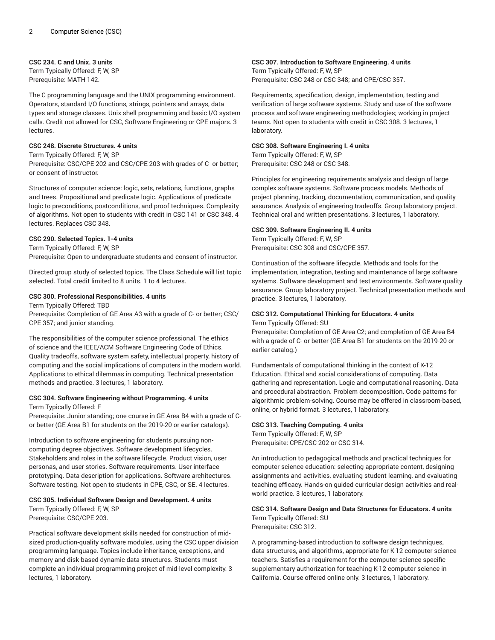## **CSC 234. C and Unix. 3 units**

Term Typically Offered: F, W, SP Prerequisite: MATH 142.

The C programming language and the UNIX programming environment. Operators, standard I/O functions, strings, pointers and arrays, data types and storage classes. Unix shell programming and basic I/O system calls. Credit not allowed for CSC, Software Engineering or CPE majors. 3 lectures.

## **CSC 248. Discrete Structures. 4 units**

Term Typically Offered: F, W, SP

Prerequisite: CSC/CPE 202 and CSC/CPE 203 with grades of C- or better; or consent of instructor.

Structures of computer science: logic, sets, relations, functions, graphs and trees. Propositional and predicate logic. Applications of predicate logic to preconditions, postconditions, and proof techniques. Complexity of algorithms. Not open to students with credit in CSC 141 or CSC 348. 4 lectures. Replaces CSC 348.

## **CSC 290. Selected Topics. 1-4 units**

Term Typically Offered: F, W, SP Prerequisite: Open to undergraduate students and consent of instructor.

Directed group study of selected topics. The Class Schedule will list topic selected. Total credit limited to 8 units. 1 to 4 lectures.

## **CSC 300. Professional Responsibilities. 4 units**

Term Typically Offered: TBD Prerequisite: Completion of GE Area A3 with a grade of C- or better; CSC/ CPE 357; and junior standing.

The responsibilities of the computer science professional. The ethics of science and the IEEE/ACM Software Engineering Code of Ethics. Quality tradeoffs, software system safety, intellectual property, history of computing and the social implications of computers in the modern world. Applications to ethical dilemmas in computing. Technical presentation methods and practice. 3 lectures, 1 laboratory.

#### **CSC 304. Software Engineering without Programming. 4 units** Term Typically Offered: F

Prerequisite: Junior standing; one course in GE Area B4 with a grade of Cor better (GE Area B1 for students on the 2019-20 or earlier catalogs).

Introduction to software engineering for students pursuing noncomputing degree objectives. Software development lifecycles. Stakeholders and roles in the software lifecycle. Product vision, user personas, and user stories. Software requirements. User interface prototyping. Data description for applications. Software architectures. Software testing. Not open to students in CPE, CSC, or SE. 4 lectures.

## **CSC 305. Individual Software Design and Development. 4 units** Term Typically Offered: F, W, SP

Prerequisite: CSC/CPE 203.

Practical software development skills needed for construction of midsized production-quality software modules, using the CSC upper division programming language. Topics include inheritance, exceptions, and memory and disk-based dynamic data structures. Students must complete an individual programming project of mid-level complexity. 3 lectures, 1 laboratory.

## **CSC 307. Introduction to Software Engineering. 4 units**

Term Typically Offered: F, W, SP Prerequisite: CSC 248 or CSC 348; and CPE/CSC 357.

Requirements, specification, design, implementation, testing and verification of large software systems. Study and use of the software process and software engineering methodologies; working in project teams. Not open to students with credit in CSC 308. 3 lectures, 1 laboratory.

## **CSC 308. Software Engineering I. 4 units**

Term Typically Offered: F, W, SP Prerequisite: CSC 248 or CSC 348.

Principles for engineering requirements analysis and design of large complex software systems. Software process models. Methods of project planning, tracking, documentation, communication, and quality assurance. Analysis of engineering tradeoffs. Group laboratory project. Technical oral and written presentations. 3 lectures, 1 laboratory.

## **CSC 309. Software Engineering II. 4 units**

Term Typically Offered: F, W, SP Prerequisite: CSC 308 and CSC/CPE 357.

Continuation of the software lifecycle. Methods and tools for the implementation, integration, testing and maintenance of large software systems. Software development and test environments. Software quality assurance. Group laboratory project. Technical presentation methods and practice. 3 lectures, 1 laboratory.

# **CSC 312. Computational Thinking for Educators. 4 units**

Term Typically Offered: SU

Prerequisite: Completion of GE Area C2; and completion of GE Area B4 with a grade of C- or better (GE Area B1 for students on the 2019-20 or earlier catalog.)

Fundamentals of computational thinking in the context of K-12 Education. Ethical and social considerations of computing. Data gathering and representation. Logic and computational reasoning. Data and procedural abstraction. Problem decomposition. Code patterns for algorithmic problem-solving. Course may be offered in classroom-based, online, or hybrid format. 3 lectures, 1 laboratory.

## **CSC 313. Teaching Computing. 4 units**

Term Typically Offered: F, W, SP Prerequisite: CPE/CSC 202 or CSC 314.

An introduction to pedagogical methods and practical techniques for computer science education: selecting appropriate content, designing assignments and activities, evaluating student learning, and evaluating teaching efficacy. Hands-on guided curricular design activities and realworld practice. 3 lectures, 1 laboratory.

## **CSC 314. Software Design and Data Structures for Educators. 4 units** Term Typically Offered: SU

Prerequisite: CSC 312.

A programming-based introduction to software design techniques, data structures, and algorithms, appropriate for K-12 computer science teachers. Satisfies a requirement for the computer science specific supplementary authorization for teaching K-12 computer science in California. Course offered online only. 3 lectures, 1 laboratory.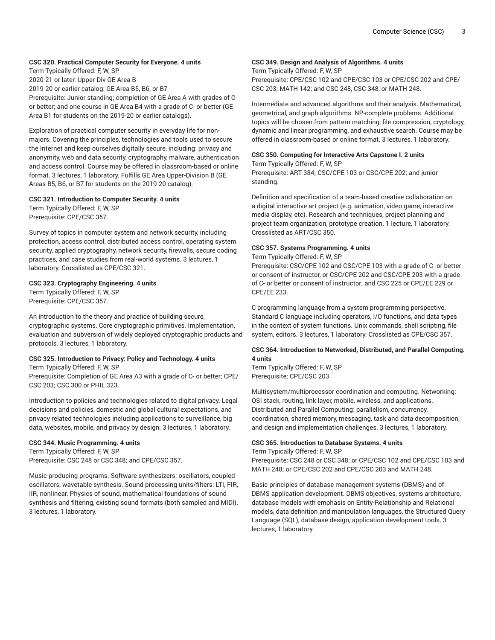## **CSC 320. Practical Computer Security for Everyone. 4 units**

Term Typically Offered: F, W, SP 2020-21 or later: Upper-Div GE Area B 2019-20 or earlier catalog: GE Area B5, B6, or B7 Prerequisite: Junior standing; completion of GE Area A with grades of Cor better; and one course in GE Area B4 with a grade of C- or better (GE Area B1 for students on the 2019-20 or earlier catalogs).

Exploration of practical computer security in everyday life for nonmajors. Covering the principles, technologies and tools used to secure the Internet and keep ourselves digitally secure, including: privacy and anonymity, web and data security, cryptography, malware, authentication and access control. Course may be offered in classroom-based or online format. 3 lectures, 1 laboratory. Fulfills GE Area Upper-Division B (GE Areas B5, B6, or B7 for students on the 2019-20 catalog).

#### **CSC 321. Introduction to Computer Security. 4 units**

Term Typically Offered: F, W, SP Prerequisite: CPE/CSC 357.

Survey of topics in computer system and network security, including protection, access control, distributed access control, operating system security, applied cryptography, network security, firewalls, secure coding practices, and case studies from real-world systems. 3 lectures, 1 laboratory. Crosslisted as CPE/CSC 321.

## **CSC 323. Cryptography Engineering. 4 units**

Term Typically Offered: F, W, SP Prerequisite: CPE/CSC 357.

An introduction to the theory and practice of building secure, cryptographic systems. Core cryptographic primitives. Implementation, evaluation and subversion of widely deployed cryptographic products and protocols. 3 lectures, 1 laboratory.

# **CSC 325. Introduction to Privacy: Policy and Technology. 4 units**

Term Typically Offered: F, W, SP

Prerequisite: Completion of GE Area A3 with a grade of C- or better; CPE/ CSC 203; CSC 300 or PHIL 323.

Introduction to policies and technologies related to digital privacy. Legal decisions and policies, domestic and global cultural expectations, and privacy related technologies including applications to surveillance, big data, websites, mobile, and privacy by design. 3 lectures, 1 laboratory.

#### **CSC 344. Music Programming. 4 units**

Term Typically Offered: F, W, SP Prerequisite: CSC 248 or CSC 348; and CPE/CSC 357.

Music-producing programs. Software synthesizers: oscillators, coupled oscillators, wavetable synthesis. Sound processing units/filters: LTI, FIR, IIR, nonlinear. Physics of sound, mathematical foundations of sound synthesis and filtering, existing sound formats (both sampled and MIDI). 3 lectures, 1 laboratory.

## **CSC 349. Design and Analysis of Algorithms. 4 units**

Term Typically Offered: F, W, SP Prerequisite: CPE/CSC 102 and CPE/CSC 103 or CPE/CSC 202 and CPE/ CSC 203; MATH 142; and CSC 248, CSC 348, or MATH 248.

Intermediate and advanced algorithms and their analysis. Mathematical, geometrical, and graph algorithms. NP-complete problems. Additional topics will be chosen from pattern matching, file compression, cryptology, dynamic and linear programming, and exhaustive search. Course may be offered in classroom-based or online format. 3 lectures, 1 laboratory.

#### **CSC 350. Computing for Interactive Arts Capstone I. 2 units**

Term Typically Offered: F, W, SP Prerequisite: ART 384; CSC/CPE 103 or CSC/CPE 202; and junior standing.

Definition and specification of a team-based creative collaboration on a digital interactive art project (e.g. animation, video game, interactive media display, etc). Research and techniques, project planning and project team organization, prototype creation. 1 lecture, 1 laboratory. Crosslisted as ART/CSC 350.

## **CSC 357. Systems Programming. 4 units**

Term Typically Offered: F, W, SP

Prerequisite: CSC/CPE 102 and CSC/CPE 103 with a grade of C- or better or consent of instructor, or CSC/CPE 202 and CSC/CPE 203 with a grade of C- or better or consent of instructor; and CSC 225 or CPE/EE 229 or CPE/EE 233.

C programming language from a system programming perspective. Standard C language including operators, I/O functions, and data types in the context of system functions. Unix commands, shell scripting, file system, editors. 3 lectures, 1 laboratory. Crosslisted as CPE/CSC 357.

## **CSC 364. Introduction to Networked, Distributed, and Parallel Computing. 4 units**

Term Typically Offered: F, W, SP Prerequisite: CPE/CSC 203.

Multisystem/multiprocessor coordination and computing. Networking: OSI stack, routing, link layer, mobile, wireless, and applications. Distributed and Parallel Computing: parallelism, concurrency, coordination, shared memory, messaging, task and data decomposition, and design and implementation challenges. 3 lectures, 1 laboratory.

#### **CSC 365. Introduction to Database Systems. 4 units**

Term Typically Offered: F, W, SP

Prerequisite: CSC 248 or CSC 348; or CPE/CSC 102 and CPE/CSC 103 and MATH 248; or CPE/CSC 202 and CPE/CSC 203 and MATH 248.

Basic principles of database management systems (DBMS) and of DBMS application development. DBMS objectives, systems architecture, database models with emphasis on Entity-Relationship and Relational models, data definition and manipulation languages, the Structured Query Language (SQL), database design, application development tools. 3 lectures, 1 laboratory.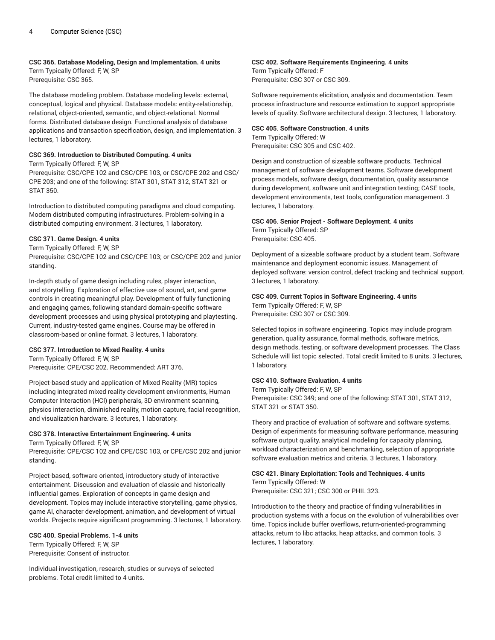## **CSC 366. Database Modeling, Design and Implementation. 4 units**

Term Typically Offered: F, W, SP Prerequisite: CSC 365.

The database modeling problem. Database modeling levels: external, conceptual, logical and physical. Database models: entity-relationship, relational, object-oriented, semantic, and object-relational. Normal forms. Distributed database design. Functional analysis of database applications and transaction specification, design, and implementation. 3 lectures, 1 laboratory.

## **CSC 369. Introduction to Distributed Computing. 4 units**

Term Typically Offered: F, W, SP

Prerequisite: CSC/CPE 102 and CSC/CPE 103, or CSC/CPE 202 and CSC/ CPE 203; and one of the following: STAT 301, STAT 312, STAT 321 or STAT 350.

Introduction to distributed computing paradigms and cloud computing. Modern distributed computing infrastructures. Problem-solving in a distributed computing environment. 3 lectures, 1 laboratory.

## **CSC 371. Game Design. 4 units**

Term Typically Offered: F, W, SP

Prerequisite: CSC/CPE 102 and CSC/CPE 103; or CSC/CPE 202 and junior standing.

In-depth study of game design including rules, player interaction, and storytelling. Exploration of effective use of sound, art, and game controls in creating meaningful play. Development of fully functioning and engaging games, following standard domain-specific software development processes and using physical prototyping and playtesting. Current, industry-tested game engines. Course may be offered in classroom-based or online format. 3 lectures, 1 laboratory.

## **CSC 377. Introduction to Mixed Reality. 4 units**

Term Typically Offered: F, W, SP Prerequisite: CPE/CSC 202. Recommended: ART 376.

Project-based study and application of Mixed Reality (MR) topics including integrated mixed reality development environments, Human Computer Interaction (HCI) peripherals, 3D environment scanning, physics interaction, diminished reality, motion capture, facial recognition, and visualization hardware. 3 lectures, 1 laboratory.

## **CSC 378. Interactive Entertainment Engineering. 4 units**

Term Typically Offered: F, W, SP

Prerequisite: CPE/CSC 102 and CPE/CSC 103, or CPE/CSC 202 and junior standing.

Project-based, software oriented, introductory study of interactive entertainment. Discussion and evaluation of classic and historically influential games. Exploration of concepts in game design and development. Topics may include interactive storytelling, game physics, game AI, character development, animation, and development of virtual worlds. Projects require significant programming. 3 lectures, 1 laboratory.

## **CSC 400. Special Problems. 1-4 units**

Term Typically Offered: F, W, SP Prerequisite: Consent of instructor.

Individual investigation, research, studies or surveys of selected problems. Total credit limited to 4 units.

# **CSC 402. Software Requirements Engineering. 4 units**

Term Typically Offered: F Prerequisite: CSC 307 or CSC 309.

Software requirements elicitation, analysis and documentation. Team process infrastructure and resource estimation to support appropriate levels of quality. Software architectural design. 3 lectures, 1 laboratory.

## **CSC 405. Software Construction. 4 units**

Term Typically Offered: W Prerequisite: CSC 305 and CSC 402.

Design and construction of sizeable software products. Technical management of software development teams. Software development process models, software design, documentation, quality assurance during development, software unit and integration testing; CASE tools, development environments, test tools, configuration management. 3 lectures, 1 laboratory.

## **CSC 406. Senior Project - Software Deployment. 4 units** Term Typically Offered: SP Prerequisite: CSC 405.

Deployment of a sizeable software product by a student team. Software maintenance and deployment economic issues. Management of deployed software: version control, defect tracking and technical support. 3 lectures, 1 laboratory.

# **CSC 409. Current Topics in Software Engineering. 4 units**

Term Typically Offered: F, W, SP Prerequisite: CSC 307 or CSC 309.

Selected topics in software engineering. Topics may include program generation, quality assurance, formal methods, software metrics, design methods, testing, or software development processes. The Class Schedule will list topic selected. Total credit limited to 8 units. 3 lectures, 1 laboratory.

## **CSC 410. Software Evaluation. 4 units**

Term Typically Offered: F, W, SP Prerequisite: CSC 349; and one of the following: STAT 301, STAT 312, STAT 321 or STAT 350.

Theory and practice of evaluation of software and software systems. Design of experiments for measuring software performance, measuring software output quality, analytical modeling for capacity planning, workload characterization and benchmarking, selection of appropriate software evaluation metrics and criteria. 3 lectures, 1 laboratory.

#### **CSC 421. Binary Exploitation: Tools and Techniques. 4 units** Term Typically Offered: W

Prerequisite: CSC 321; CSC 300 or PHIL 323.

Introduction to the theory and practice of finding vulnerabilities in production systems with a focus on the evolution of vulnerabilities over time. Topics include buffer overflows, return-oriented-programming attacks, return to libc attacks, heap attacks, and common tools. 3 lectures, 1 laboratory.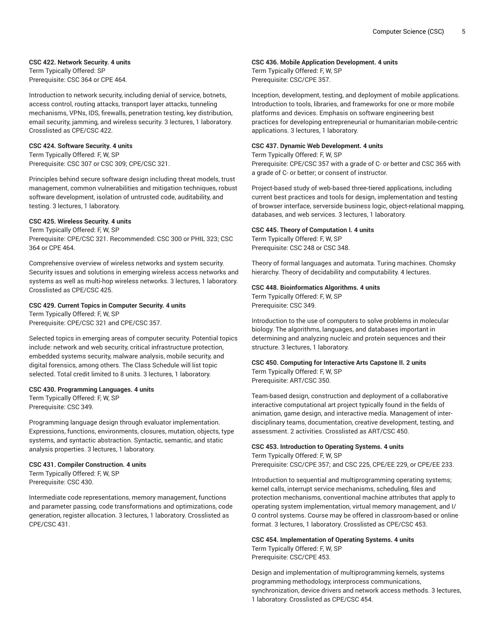## **CSC 422. Network Security. 4 units**

Term Typically Offered: SP Prerequisite: CSC 364 or CPE 464.

Introduction to network security, including denial of service, botnets, access control, routing attacks, transport layer attacks, tunneling mechanisms, VPNs, IDS, firewalls, penetration testing, key distribution, email security, jamming, and wireless security. 3 lectures, 1 laboratory. Crosslisted as CPE/CSC 422.

## **CSC 424. Software Security. 4 units**

Term Typically Offered: F, W, SP Prerequisite: CSC 307 or CSC 309; CPE/CSC 321.

Principles behind secure software design including threat models, trust management, common vulnerabilities and mitigation techniques, robust software development, isolation of untrusted code, auditability, and testing. 3 lectures, 1 laboratory.

#### **CSC 425. Wireless Security. 4 units**

Term Typically Offered: F, W, SP Prerequisite: CPE/CSC 321. Recommended: CSC 300 or PHIL 323; CSC 364 or CPE 464.

Comprehensive overview of wireless networks and system security. Security issues and solutions in emerging wireless access networks and systems as well as multi-hop wireless networks. 3 lectures, 1 laboratory. Crosslisted as CPE/CSC 425.

## **CSC 429. Current Topics in Computer Security. 4 units**

Term Typically Offered: F, W, SP Prerequisite: CPE/CSC 321 and CPE/CSC 357.

Selected topics in emerging areas of computer security. Potential topics include: network and web security, critical infrastructure protection, embedded systems security, malware analysis, mobile security, and digital forensics, among others. The Class Schedule will list topic selected. Total credit limited to 8 units. 3 lectures, 1 laboratory.

## **CSC 430. Programming Languages. 4 units**

Term Typically Offered: F, W, SP Prerequisite: CSC 349.

Programming language design through evaluator implementation. Expressions, functions, environments, closures, mutation, objects, type systems, and syntactic abstraction. Syntactic, semantic, and static analysis properties. 3 lectures, 1 laboratory.

#### **CSC 431. Compiler Construction. 4 units**

Term Typically Offered: F, W, SP Prerequisite: CSC 430.

Intermediate code representations, memory management, functions and parameter passing, code transformations and optimizations, code generation, register allocation. 3 lectures, 1 laboratory. Crosslisted as CPE/CSC 431.

## **CSC 436. Mobile Application Development. 4 units**

Term Typically Offered: F, W, SP Prerequisite: CSC/CPE 357.

Inception, development, testing, and deployment of mobile applications. Introduction to tools, libraries, and frameworks for one or more mobile platforms and devices. Emphasis on software engineering best practices for developing entrepreneurial or humanitarian mobile-centric applications. 3 lectures, 1 laboratory.

## **CSC 437. Dynamic Web Development. 4 units**

Term Typically Offered: F, W, SP Prerequisite: CPE/CSC 357 with a grade of C- or better and CSC 365 with a grade of C- or better; or consent of instructor.

Project-based study of web-based three-tiered applications, including current best practices and tools for design, implementation and testing of browser interface, serverside business logic, object-relational mapping, databases, and web services. 3 lectures, 1 laboratory.

#### **CSC 445. Theory of Computation I. 4 units**

Term Typically Offered: F, W, SP Prerequisite: CSC 248 or CSC 348.

Theory of formal languages and automata. Turing machines. Chomsky hierarchy. Theory of decidability and computability. 4 lectures.

#### **CSC 448. Bioinformatics Algorithms. 4 units**

Term Typically Offered: F, W, SP Prerequisite: CSC 349.

Introduction to the use of computers to solve problems in molecular biology. The algorithms, languages, and databases important in determining and analyzing nucleic and protein sequences and their structure. 3 lectures, 1 laboratory.

# **CSC 450. Computing for Interactive Arts Capstone II. 2 units** Term Typically Offered: F, W, SP

Prerequisite: ART/CSC 350.

Team-based design, construction and deployment of a collaborative interactive computational art project typically found in the fields of animation, game design, and interactive media. Management of interdisciplinary teams, documentation, creative development, testing, and assessment. 2 activities. Crosslisted as ART/CSC 450.

## **CSC 453. Introduction to Operating Systems. 4 units**

Term Typically Offered: F, W, SP Prerequisite: CSC/CPE 357; and CSC 225, CPE/EE 229, or CPE/EE 233.

Introduction to sequential and multiprogramming operating systems; kernel calls, interrupt service mechanisms, scheduling, files and protection mechanisms, conventional machine attributes that apply to operating system implementation, virtual memory management, and I/ O control systems. Course may be offered in classroom-based or online format. 3 lectures, 1 laboratory. Crosslisted as CPE/CSC 453.

## **CSC 454. Implementation of Operating Systems. 4 units** Term Typically Offered: F, W, SP

Prerequisite: CSC/CPE 453.

Design and implementation of multiprogramming kernels, systems programming methodology, interprocess communications, synchronization, device drivers and network access methods. 3 lectures, 1 laboratory. Crosslisted as CPE/CSC 454.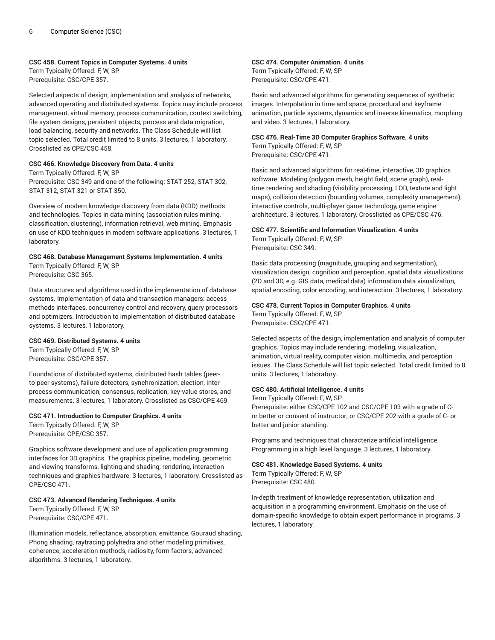## **CSC 458. Current Topics in Computer Systems. 4 units**

Term Typically Offered: F, W, SP Prerequisite: CSC/CPE 357.

Selected aspects of design, implementation and analysis of networks, advanced operating and distributed systems. Topics may include process management, virtual memory, process communication, context switching, file system designs, persistent objects, process and data migration, load balancing, security and networks. The Class Schedule will list topic selected. Total credit limited to 8 units. 3 lectures, 1 laboratory. Crosslisted as CPE/CSC 458.

## **CSC 466. Knowledge Discovery from Data. 4 units**

Term Typically Offered: F, W, SP

Prerequisite: CSC 349 and one of the following: STAT 252, STAT 302, STAT 312, STAT 321 or STAT 350.

Overview of modern knowledge discovery from data (KDD) methods and technologies. Topics in data mining (association rules mining, classification, clustering), information retrieval, web mining. Emphasis on use of KDD techniques in modern software applications. 3 lectures, 1 laboratory.

## **CSC 468. Database Management Systems Implementation. 4 units** Term Typically Offered: F, W, SP

Prerequisite: CSC 365.

Data structures and algorithms used in the implementation of database systems. Implementation of data and transaction managers: access methods interfaces, concurrency control and recovery, query processors and optimizers. Introduction to implementation of distributed database systems. 3 lectures, 1 laboratory.

## **CSC 469. Distributed Systems. 4 units**

Term Typically Offered: F, W, SP Prerequisite: CSC/CPE 357.

Foundations of distributed systems, distributed hash tables (peerto-peer systems), failure detectors, synchronization, election, interprocess communication, consensus, replication, key-value stores, and measurements. 3 lectures, 1 laboratory. Crosslisted as CSC/CPE 469.

**CSC 471. Introduction to Computer Graphics. 4 units** Term Typically Offered: F, W, SP Prerequisite: CPE/CSC 357.

Graphics software development and use of application programming interfaces for 3D graphics. The graphics pipeline, modeling, geometric and viewing transforms, lighting and shading, rendering, interaction techniques and graphics hardware. 3 lectures, 1 laboratory. Crosslisted as CPE/CSC 471.

## **CSC 473. Advanced Rendering Techniques. 4 units**

Term Typically Offered: F, W, SP Prerequisite: CSC/CPE 471.

Illumination models, reflectance, absorption, emittance, Gouraud shading, Phong shading, raytracing polyhedra and other modeling primitives, coherence, acceleration methods, radiosity, form factors, advanced algorithms. 3 lectures, 1 laboratory.

## **CSC 474. Computer Animation. 4 units** Term Typically Offered: F, W, SP

Prerequisite: CSC/CPE 471.

Basic and advanced algorithms for generating sequences of synthetic images. Interpolation in time and space, procedural and keyframe animation, particle systems, dynamics and inverse kinematics, morphing and video. 3 lectures, 1 laboratory.

## **CSC 476. Real-Time 3D Computer Graphics Software. 4 units** Term Typically Offered: F, W, SP

Prerequisite: CSC/CPE 471.

Basic and advanced algorithms for real-time, interactive, 3D graphics software. Modeling (polygon mesh, height field, scene graph), realtime rendering and shading (visibility processing, LOD, texture and light maps), collision detection (bounding volumes, complexity management), interactive controls, multi-player game technology, game engine architecture. 3 lectures, 1 laboratory. Crosslisted as CPE/CSC 476.

## **CSC 477. Scientific and Information Visualization. 4 units** Term Typically Offered: F, W, SP

Prerequisite: CSC 349.

Basic data processing (magnitude, grouping and segmentation), visualization design, cognition and perception, spatial data visualizations (2D and 3D, e.g. GIS data, medical data) information data visualization, spatial encoding, color encoding, and interaction. 3 lectures, 1 laboratory.

#### **CSC 478. Current Topics in Computer Graphics. 4 units** Term Typically Offered: F, W, SP

Prerequisite: CSC/CPE 471.

Selected aspects of the design, implementation and analysis of computer graphics. Topics may include rendering, modeling, visualization, animation, virtual reality, computer vision, multimedia, and perception issues. The Class Schedule will list topic selected. Total credit limited to 8 units. 3 lectures, 1 laboratory.

## **CSC 480. Artificial Intelligence. 4 units**

Term Typically Offered: F, W, SP Prerequisite: either CSC/CPE 102 and CSC/CPE 103 with a grade of Cor better or consent of instructor; or CSC/CPE 202 with a grade of C- or better and junior standing.

Programs and techniques that characterize artificial intelligence. Programming in a high level language. 3 lectures, 1 laboratory.

## **CSC 481. Knowledge Based Systems. 4 units**

Term Typically Offered: F, W, SP Prerequisite: CSC 480.

In-depth treatment of knowledge representation, utilization and acquisition in a programming environment. Emphasis on the use of domain-specific knowledge to obtain expert performance in programs. 3 lectures, 1 laboratory.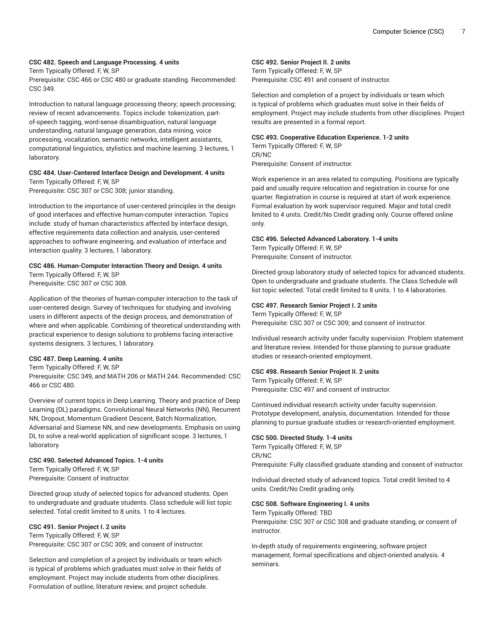## **CSC 482. Speech and Language Processing. 4 units**

Term Typically Offered: F, W, SP

Prerequisite: CSC 466 or CSC 480 or graduate standing. Recommended: CSC 349.

Introduction to natural language processing theory; speech processing; review of recent advancements. Topics include: tokenization, partof-speech tagging, word-sense disambiguation, natural language understanding, natural language generation, data mining, voice processing, vocalization, semantic networks, intelligent assistants, computational linguistics, stylistics and machine learning. 3 lectures, 1 laboratory.

## **CSC 484. User-Centered Interface Design and Development. 4 units** Term Typically Offered: F, W, SP

Prerequisite: CSC 307 or CSC 308; junior standing.

Introduction to the importance of user-centered principles in the design of good interfaces and effective human-computer interaction. Topics include: study of human characteristics affected by interface design, effective requirements data collection and analysis, user-centered approaches to software engineering, and evaluation of interface and interaction quality. 3 lectures, 1 laboratory.

## **CSC 486. Human-Computer Interaction Theory and Design. 4 units**

Term Typically Offered: F, W, SP Prerequisite: CSC 307 or CSC 308.

Application of the theories of human-computer interaction to the task of user-centered design. Survey of techniques for studying and involving users in different aspects of the design process, and demonstration of where and when applicable. Combining of theoretical understanding with practical experience to design solutions to problems facing interactive systems designers. 3 lectures, 1 laboratory.

## **CSC 487. Deep Learning. 4 units**

Term Typically Offered: F, W, SP

Prerequisite: CSC 349, and MATH 206 or MATH 244. Recommended: CSC 466 or CSC 480.

Overview of current topics in Deep Learning. Theory and practice of Deep Learning (DL) paradigms. Convolutional Neural Networks (NN), Recurrent NN, Dropout, Momentum Gradient Descent, Batch Normalization, Adversarial and Siamese NN, and new developments. Emphasis on using DL to solve a real-world application of significant scope. 3 lectures, 1 laboratory.

## **CSC 490. Selected Advanced Topics. 1-4 units**

Term Typically Offered: F, W, SP Prerequisite: Consent of instructor.

Directed group study of selected topics for advanced students. Open to undergraduate and graduate students. Class schedule will list topic selected. Total credit limited to 8 units. 1 to 4 lectures.

## **CSC 491. Senior Project I. 2 units**

Term Typically Offered: F, W, SP Prerequisite: CSC 307 or CSC 309; and consent of instructor.

Selection and completion of a project by individuals or team which is typical of problems which graduates must solve in their fields of employment. Project may include students from other disciplines. Formulation of outline, literature review, and project schedule.

## **CSC 492. Senior Project II. 2 units**

Term Typically Offered: F, W, SP Prerequisite: CSC 491 and consent of instructor.

Selection and completion of a project by individuals or team which is typical of problems which graduates must solve in their fields of employment. Project may include students from other disciplines. Project results are presented in a formal report.

## **CSC 493. Cooperative Education Experience. 1-2 units**

Term Typically Offered: F, W, SP CR/NC Prerequisite: Consent of instructor.

Work experience in an area related to computing. Positions are typically paid and usually require relocation and registration in course for one quarter. Registration in course is required at start of work experience. Formal evaluation by work supervisor required. Major and total credit limited to 4 units. Credit/No Credit grading only. Course offered online only.

## **CSC 496. Selected Advanced Laboratory. 1-4 units**

Term Typically Offered: F, W, SP Prerequisite: Consent of instructor.

Directed group laboratory study of selected topics for advanced students. Open to undergraduate and graduate students. The Class Schedule will list topic selected. Total credit limited to 8 units. 1 to 4 laboratories.

## **CSC 497. Research Senior Project I. 2 units**

Term Typically Offered: F, W, SP Prerequisite: CSC 307 or CSC 309; and consent of instructor.

Individual research activity under faculty supervision. Problem statement and literature review. Intended for those planning to pursue graduate studies or research-oriented employment.

## **CSC 498. Research Senior Project II. 2 units**

Term Typically Offered: F, W, SP Prerequisite: CSC 497 and consent of instructor.

Continued individual research activity under faculty supervision. Prototype development, analysis, documentation. Intended for those planning to pursue graduate studies or research-oriented employment.

#### **CSC 500. Directed Study. 1-4 units**

Term Typically Offered: F, W, SP CR/NC Prerequisite: Fully classified graduate standing and consent of instructor.

Individual directed study of advanced topics. Total credit limited to 4 units. Credit/No Credit grading only.

#### **CSC 508. Software Engineering I. 4 units**

Term Typically Offered: TBD Prerequisite: CSC 307 or CSC 308 and graduate standing, or consent of instructor.

In-depth study of requirements engineering, software project management, formal specifications and object-oriented analysis. 4 seminars.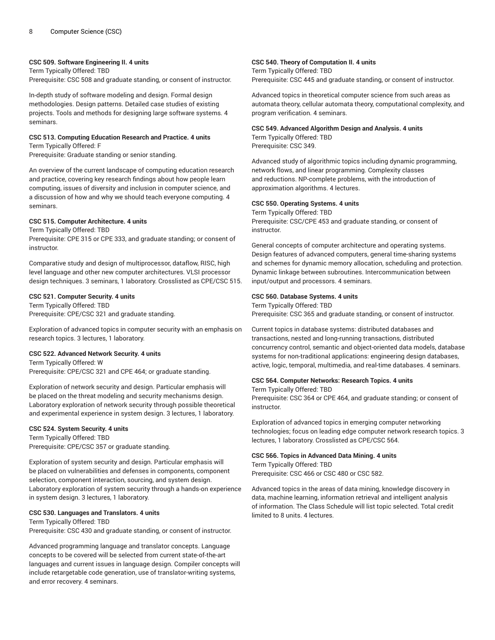## **CSC 509. Software Engineering II. 4 units**

Term Typically Offered: TBD Prerequisite: CSC 508 and graduate standing, or consent of instructor.

In-depth study of software modeling and design. Formal design methodologies. Design patterns. Detailed case studies of existing projects. Tools and methods for designing large software systems. 4 seminars.

# **CSC 513. Computing Education Research and Practice. 4 units**

Term Typically Offered: F

Prerequisite: Graduate standing or senior standing.

An overview of the current landscape of computing education research and practice, covering key research findings about how people learn computing, issues of diversity and inclusion in computer science, and a discussion of how and why we should teach everyone computing. 4 seminars.

#### **CSC 515. Computer Architecture. 4 units**

Term Typically Offered: TBD Prerequisite: CPE 315 or CPE 333, and graduate standing; or consent of instructor.

Comparative study and design of multiprocessor, dataflow, RISC, high level language and other new computer architectures. VLSI processor design techniques. 3 seminars, 1 laboratory. Crosslisted as CPE/CSC 515.

#### **CSC 521. Computer Security. 4 units**

Term Typically Offered: TBD Prerequisite: CPE/CSC 321 and graduate standing.

Exploration of advanced topics in computer security with an emphasis on research topics. 3 lectures, 1 laboratory.

#### **CSC 522. Advanced Network Security. 4 units**

Term Typically Offered: W Prerequisite: CPE/CSC 321 and CPE 464; or graduate standing.

Exploration of network security and design. Particular emphasis will be placed on the threat modeling and security mechanisms design. Laboratory exploration of network security through possible theoretical and experimental experience in system design. 3 lectures, 1 laboratory.

#### **CSC 524. System Security. 4 units**

Term Typically Offered: TBD Prerequisite: CPE/CSC 357 or graduate standing.

Exploration of system security and design. Particular emphasis will be placed on vulnerabilities and defenses in components, component selection, component interaction, sourcing, and system design. Laboratory exploration of system security through a hands-on experience in system design. 3 lectures, 1 laboratory.

#### **CSC 530. Languages and Translators. 4 units**

Term Typically Offered: TBD Prerequisite: CSC 430 and graduate standing, or consent of instructor.

Advanced programming language and translator concepts. Language concepts to be covered will be selected from current state-of-the-art languages and current issues in language design. Compiler concepts will include retargetable code generation, use of translator-writing systems, and error recovery. 4 seminars.

## **CSC 540. Theory of Computation II. 4 units**

Term Typically Offered: TBD Prerequisite: CSC 445 and graduate standing, or consent of instructor.

Advanced topics in theoretical computer science from such areas as automata theory, cellular automata theory, computational complexity, and program verification. 4 seminars.

## **CSC 549. Advanced Algorithm Design and Analysis. 4 units** Term Typically Offered: TBD Prerequisite: CSC 349.

Advanced study of algorithmic topics including dynamic programming, network flows, and linear programming. Complexity classes and reductions. NP-complete problems, with the introduction of approximation algorithms. 4 lectures.

#### **CSC 550. Operating Systems. 4 units**

Term Typically Offered: TBD Prerequisite: CSC/CPE 453 and graduate standing, or consent of instructor.

General concepts of computer architecture and operating systems. Design features of advanced computers, general time-sharing systems and schemes for dynamic memory allocation, scheduling and protection. Dynamic linkage between subroutines. Intercommunication between input/output and processors. 4 seminars.

#### **CSC 560. Database Systems. 4 units**

Term Typically Offered: TBD Prerequisite: CSC 365 and graduate standing, or consent of instructor.

Current topics in database systems: distributed databases and transactions, nested and long-running transactions, distributed concurrency control, semantic and object-oriented data models, database systems for non-traditional applications: engineering design databases, active, logic, temporal, multimedia, and real-time databases. 4 seminars.

#### **CSC 564. Computer Networks: Research Topics. 4 units**

Term Typically Offered: TBD Prerequisite: CSC 364 or CPE 464, and graduate standing; or consent of instructor.

Exploration of advanced topics in emerging computer networking technologies; focus on leading edge computer network research topics. 3 lectures, 1 laboratory. Crosslisted as CPE/CSC 564.

# **CSC 566. Topics in Advanced Data Mining. 4 units**

## Term Typically Offered: TBD

Prerequisite: CSC 466 or CSC 480 or CSC 582.

Advanced topics in the areas of data mining, knowledge discovery in data, machine learning, information retrieval and intelligent analysis of information. The Class Schedule will list topic selected. Total credit limited to 8 units. 4 lectures.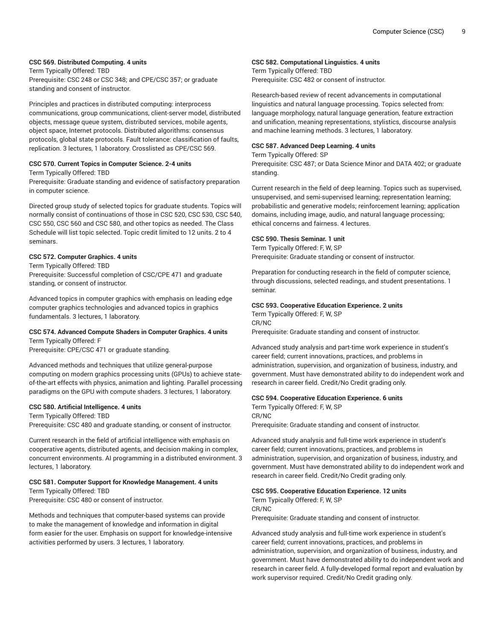## **CSC 569. Distributed Computing. 4 units**

Term Typically Offered: TBD Prerequisite: CSC 248 or CSC 348; and CPE/CSC 357; or graduate standing and consent of instructor.

Principles and practices in distributed computing: interprocess communications, group communications, client-server model, distributed objects, message queue system, distributed services, mobile agents, object space, Internet protocols. Distributed algorithms: consensus protocols, global state protocols. Fault tolerance: classification of faults, replication. 3 lectures, 1 laboratory. Crosslisted as CPE/CSC 569.

## **CSC 570. Current Topics in Computer Science. 2-4 units**

Term Typically Offered: TBD

Prerequisite: Graduate standing and evidence of satisfactory preparation in computer science.

Directed group study of selected topics for graduate students. Topics will normally consist of continuations of those in CSC 520, CSC 530, CSC 540, CSC 550, CSC 560 and CSC 580, and other topics as needed. The Class Schedule will list topic selected. Topic credit limited to 12 units. 2 to 4 seminars.

## **CSC 572. Computer Graphics. 4 units**

Term Typically Offered: TBD

Prerequisite: Successful completion of CSC/CPE 471 and graduate standing, or consent of instructor.

Advanced topics in computer graphics with emphasis on leading edge computer graphics technologies and advanced topics in graphics fundamentals. 3 lectures, 1 laboratory.

#### **CSC 574. Advanced Compute Shaders in Computer Graphics. 4 units** Term Typically Offered: F

Prerequisite: CPE/CSC 471 or graduate standing.

Advanced methods and techniques that utilize general-purpose computing on modern graphics processing units (GPUs) to achieve stateof-the-art effects with physics, animation and lighting. Parallel processing paradigms on the GPU with compute shaders. 3 lectures, 1 laboratory.

## **CSC 580. Artificial Intelligence. 4 units**

Term Typically Offered: TBD Prerequisite: CSC 480 and graduate standing, or consent of instructor.

Current research in the field of artificial intelligence with emphasis on cooperative agents, distributed agents, and decision making in complex, concurrent environments. AI programming in a distributed environment. 3 lectures, 1 laboratory.

#### **CSC 581. Computer Support for Knowledge Management. 4 units** Term Typically Offered: TBD

Prerequisite: CSC 480 or consent of instructor.

Methods and techniques that computer-based systems can provide to make the management of knowledge and information in digital form easier for the user. Emphasis on support for knowledge-intensive activities performed by users. 3 lectures, 1 laboratory.

## **CSC 582. Computational Linguistics. 4 units**

Term Typically Offered: TBD Prerequisite: CSC 482 or consent of instructor.

Research-based review of recent advancements in computational linguistics and natural language processing. Topics selected from: language morphology, natural language generation, feature extraction and unification, meaning representations, stylistics, discourse analysis and machine learning methods. 3 lectures, 1 laboratory.

## **CSC 587. Advanced Deep Learning. 4 units**

Term Typically Offered: SP

Prerequisite: CSC 487; or Data Science Minor and DATA 402; or graduate standing.

Current research in the field of deep learning. Topics such as supervised, unsupervised, and semi-supervised learning; representation learning; probabilistic and generative models; reinforcement learning; application domains, including image, audio, and natural language processing; ethical concerns and fairness. 4 lectures.

## **CSC 590. Thesis Seminar. 1 unit**

Term Typically Offered: F, W, SP Prerequisite: Graduate standing or consent of instructor.

Preparation for conducting research in the field of computer science, through discussions, selected readings, and student presentations. 1 seminar.

## **CSC 593. Cooperative Education Experience. 2 units**

Term Typically Offered: F, W, SP CR/NC Prerequisite: Graduate standing and consent of instructor.

Advanced study analysis and part-time work experience in student's career field; current innovations, practices, and problems in administration, supervision, and organization of business, industry, and government. Must have demonstrated ability to do independent work and research in career field. Credit/No Credit grading only.

## **CSC 594. Cooperative Education Experience. 6 units**

Term Typically Offered: F, W, SP CR/NC Prerequisite: Graduate standing and consent of instructor.

Advanced study analysis and full-time work experience in student's career field; current innovations, practices, and problems in administration, supervision, and organization of business, industry, and government. Must have demonstrated ability to do independent work and research in career field. Credit/No Credit grading only.

## **CSC 595. Cooperative Education Experience. 12 units**

Term Typically Offered: F, W, SP CR/NC Prerequisite: Graduate standing and consent of instructor.

Advanced study analysis and full-time work experience in student's career field; current innovations, practices, and problems in administration, supervision, and organization of business, industry, and government. Must have demonstrated ability to do independent work and research in career field. A fully-developed formal report and evaluation by work supervisor required. Credit/No Credit grading only.